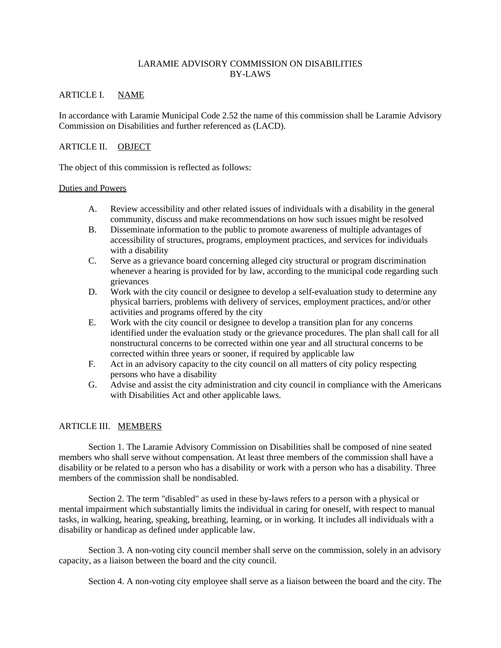## LARAMIE ADVISORY COMMISSION ON DISABILITIES BY-LAWS

# ARTICLE I. NAME

In accordance with Laramie Municipal Code 2.52 the name of this commission shall be Laramie Advisory Commission on Disabilities and further referenced as (LACD).

# ARTICLE II. OBJECT

The object of this commission is reflected as follows:

## Duties and Powers

- A. Review accessibility and other related issues of individuals with a disability in the general community, discuss and make recommendations on how such issues might be resolved
- B. Disseminate information to the public to promote awareness of multiple advantages of accessibility of structures, programs, employment practices, and services for individuals with a disability
- C. Serve as a grievance board concerning alleged city structural or program discrimination whenever a hearing is provided for by law, according to the municipal code regarding such grievances
- D. Work with the city council or designee to develop a self-evaluation study to determine any physical barriers, problems with delivery of services, employment practices, and/or other activities and programs offered by the city
- E. Work with the city council or designee to develop a transition plan for any concerns identified under the evaluation study or the grievance procedures. The plan shall call for all nonstructural concerns to be corrected within one year and all structural concerns to be corrected within three years or sooner, if required by applicable law
- F. Act in an advisory capacity to the city council on all matters of city policy respecting persons who have a disability
- G. Advise and assist the city administration and city council in compliance with the Americans with Disabilities Act and other applicable laws.

## ARTICLE III. MEMBERS

Section 1. The Laramie Advisory Commission on Disabilities shall be composed of nine seated members who shall serve without compensation. At least three members of the commission shall have a disability or be related to a person who has a disability or work with a person who has a disability. Three members of the commission shall be nondisabled.

Section 2. The term "disabled" as used in these by-laws refers to a person with a physical or mental impairment which substantially limits the individual in caring for oneself, with respect to manual tasks, in walking, hearing, speaking, breathing, learning, or in working. It includes all individuals with a disability or handicap as defined under applicable law.

Section 3. A non-voting city council member shall serve on the commission, solely in an advisory capacity, as a liaison between the board and the city council.

Section 4. A non-voting city employee shall serve as a liaison between the board and the city. The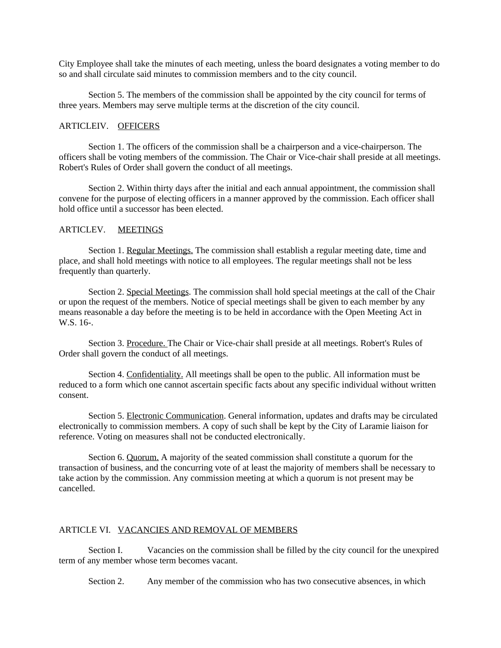City Employee shall take the minutes of each meeting, unless the board designates a voting member to do so and shall circulate said minutes to commission members and to the city council.

Section 5. The members of the commission shall be appointed by the city council for terms of three years. Members may serve multiple terms at the discretion of the city council.

## ARTICLEIV. OFFICERS

Section 1. The officers of the commission shall be a chairperson and a vice-chairperson. The officers shall be voting members of the commission. The Chair or Vice-chair shall preside at all meetings. Robert's Rules of Order shall govern the conduct of all meetings.

Section 2. Within thirty days after the initial and each annual appointment, the commission shall convene for the purpose of electing officers in a manner approved by the commission. Each officer shall hold office until a successor has been elected.

## ARTICLEV. MEETINGS

Section 1. Regular Meetings. The commission shall establish a regular meeting date, time and place, and shall hold meetings with notice to all employees. The regular meetings shall not be less frequently than quarterly.

Section 2. Special Meetings. The commission shall hold special meetings at the call of the Chair or upon the request of the members. Notice of special meetings shall be given to each member by any means reasonable a day before the meeting is to be held in accordance with the Open Meeting Act in W.S. 16-.

Section 3. Procedure. The Chair or Vice-chair shall preside at all meetings. Robert's Rules of Order shall govern the conduct of all meetings.

Section 4. Confidentiality. All meetings shall be open to the public. All information must be reduced to a form which one cannot ascertain specific facts about any specific individual without written consent.

Section 5. Electronic Communication. General information, updates and drafts may be circulated electronically to commission members. A copy of such shall be kept by the City of Laramie liaison for reference. Voting on measures shall not be conducted electronically.

Section 6. Quorum. A majority of the seated commission shall constitute a quorum for the transaction of business, and the concurring vote of at least the majority of members shall be necessary to take action by the commission. Any commission meeting at which a quorum is not present may be cancelled.

#### ARTICLE VI. VACANCIES AND REMOVAL OF MEMBERS

Section I. Vacancies on the commission shall be filled by the city council for the unexpired term of any member whose term becomes vacant.

Section 2. Any member of the commission who has two consecutive absences, in which